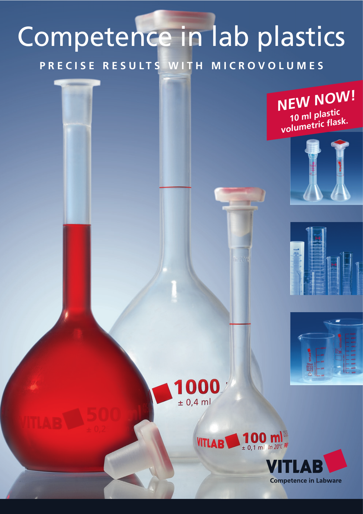## Competence in lab plastics

**PRECISE RESULTS WITH MICROVOLUMES**

**NEW NOW! 10 ml plastic volumetric flask.**













**Competence in Labware**